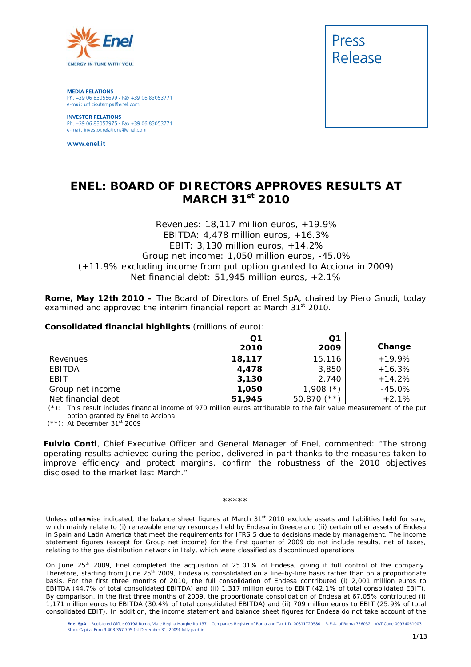

**MEDIA RELATIONS** Ph. +39 06 83055699 - Fax +39 06 83053771 e-mail: ufficiostampa@enel.com

**INVESTOR RELATIONS**<br>Ph. +39 06 83057975 - Fax +39 06 83053771 e-mail: investor.relations@enel.com

www.enel.it



# **ENEL: BOARD OF DIRECTORS APPROVES RESULTS AT MARCH 31st 2010**

# *Revenues: 18,117 million euros, +19.9% EBITDA: 4,478 million euros, +16.3% EBIT: 3,130 million euros, +14.2% Group net income: 1,050 million euros, -45.0% (+11.9% excluding income from put option granted to Acciona in 2009) Net financial debt: 51,945 million euros, +2.1%*

**Rome, May 12th 2010 –** The Board of Directors of Enel SpA, chaired by Piero Gnudi, today examined and approved the interim financial report at March 31<sup>st</sup> 2010.

#### **Consolidated financial highlights** (millions of euro):

| --                 |        |                  |          |
|--------------------|--------|------------------|----------|
|                    | Q1     | Q1               |          |
|                    | 2010   | 2009             | Change   |
| Revenues           | 18,117 | 15,116           | $+19.9%$ |
| EBITDA             | 4,478  | 3,850            | $+16.3%$ |
| EBIT               | 3,130  | 2,740            | $+14.2%$ |
| Group net income   | 1,050  | $1,908$ (*)      | $-45.0%$ |
| Net financial debt | 51,945 | $(**)$<br>50,870 | $+2.1%$  |

 (\*): *This result includes financial income of 970 million euros attributable to the fair value measurement of the put option granted by Enel to Acciona.* 

(\*\*): *At December 31st 2009*

**Fulvio Conti**, Chief Executive Officer and General Manager of Enel, commented: "The strong operating results achieved during the period, delivered in part thanks to the measures taken to improve efficiency and protect margins, confirm the robustness of the 2010 objectives disclosed to the market last March."

#### \*\*\*\*\*

Unless otherwise indicated, the balance sheet figures at March 31<sup>st</sup> 2010 exclude assets and liabilities held for sale, which mainly relate to (i) renewable energy resources held by Endesa in Greece and (ii) certain other assets of Endesa in Spain and Latin America that meet the requirements for IFRS 5 due to decisions made by management. The income statement figures (except for Group net income) for the first quarter of 2009 do not include results, net of taxes, relating to the gas distribution network in Italy, which were classified as discontinued operations.

On June 25<sup>th</sup> 2009, Enel completed the acquisition of 25.01% of Endesa, giving it full control of the company. Therefore, starting from June 25<sup>th</sup> 2009, Endesa is consolidated on a line-by-line basis rather than on a proportionate basis. For the first three months of 2010, the full consolidation of Endesa contributed (i) 2,001 million euros to EBITDA (44.7% of total consolidated EBITDA) and (ii) 1,317 million euros to EBIT (42.1% of total consolidated EBIT). By comparison, in the first three months of 2009, the proportionate consolidation of Endesa at 67.05% contributed (i) 1,171 million euros to EBITDA (30.4% of total consolidated EBITDA) and (ii) 709 million euros to EBIT (25.9% of total consolidated EBIT). In addition, the income statement and balance sheet figures for Endesa do not take account of the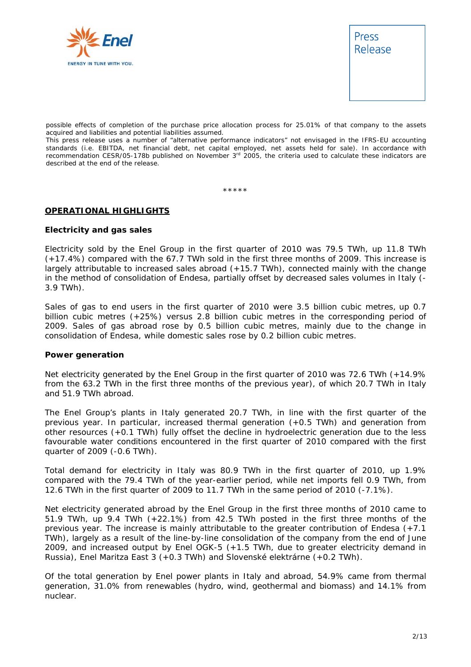



possible effects of completion of the purchase price allocation process for 25.01% of that company to the assets acquired and liabilities and potential liabilities assumed.

This press release uses a number of "alternative performance indicators" not envisaged in the IFRS-EU accounting standards (i.e. EBITDA, net financial debt, net capital employed, net assets held for sale). In accordance with recommendation CESR/05-178b published on November  $3<sup>rd</sup>$  2005, the criteria used to calculate these indicators are described at the end of the release.

\*\*\*\*\*

# **OPERATIONAL HIGHLIGHTS**

## **Electricity and gas sales**

Electricity sold by the Enel Group in the first quarter of 2010 was 79.5 TWh, up 11.8 TWh (+17.4%) compared with the 67.7 TWh sold in the first three months of 2009. This increase is largely attributable to increased sales abroad (+15.7 TWh), connected mainly with the change in the method of consolidation of Endesa, partially offset by decreased sales volumes in Italy (- 3.9 TWh).

Sales of gas to end users in the first quarter of 2010 were 3.5 billion cubic metres, up 0.7 billion cubic metres (+25%) versus 2.8 billion cubic metres in the corresponding period of 2009. Sales of gas abroad rose by 0.5 billion cubic metres, mainly due to the change in consolidation of Endesa, while domestic sales rose by 0.2 billion cubic metres.

#### **Power generation**

Net electricity generated by the Enel Group in the first quarter of 2010 was 72.6 TWh (+14.9% from the 63.2 TWh in the first three months of the previous year), of which 20.7 TWh in Italy and 51.9 TWh abroad.

The Enel Group's plants in Italy generated 20.7 TWh, in line with the first quarter of the previous year. In particular, increased thermal generation (+0.5 TWh) and generation from other resources (+0.1 TWh) fully offset the decline in hydroelectric generation due to the less favourable water conditions encountered in the first quarter of 2010 compared with the first quarter of 2009 (-0.6 TWh).

Total demand for electricity in Italy was 80.9 TWh in the first quarter of 2010, up 1.9% compared with the 79.4 TWh of the year-earlier period, while net imports fell 0.9 TWh, from 12.6 TWh in the first quarter of 2009 to 11.7 TWh in the same period of 2010 (-7.1%).

Net electricity generated abroad by the Enel Group in the first three months of 2010 came to 51.9 TWh, up 9.4 TWh (+22.1%) from 42.5 TWh posted in the first three months of the previous year. The increase is mainly attributable to the greater contribution of Endesa (+7.1 TWh), largely as a result of the line-by-line consolidation of the company from the end of June 2009, and increased output by Enel OGK-5 (+1.5 TWh, due to greater electricity demand in Russia), Enel Maritza East 3 (+0.3 TWh) and Slovenské elektrárne (+0.2 TWh).

Of the total generation by Enel power plants in Italy and abroad, 54.9% came from thermal generation, 31.0% from renewables (hydro, wind, geothermal and biomass) and 14.1% from nuclear.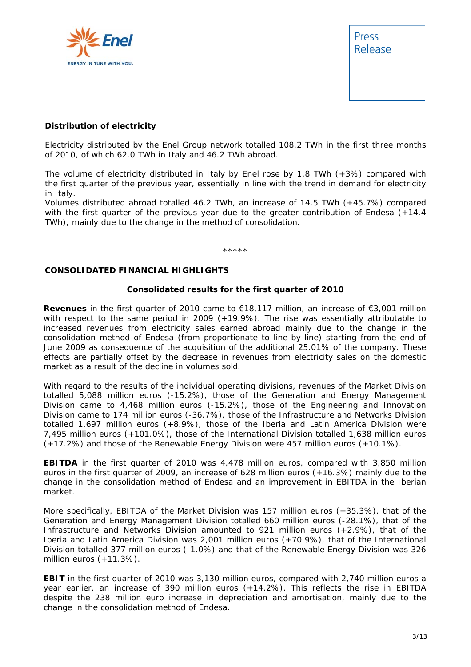



# **Distribution of electricity**

Electricity distributed by the Enel Group network totalled 108.2 TWh in the first three months of 2010, of which 62.0 TWh in Italy and 46.2 TWh abroad.

The volume of electricity distributed in Italy by Enel rose by 1.8 TWh (+3%) compared with the first quarter of the previous year, essentially in line with the trend in demand for electricity in Italy.

Volumes distributed abroad totalled 46.2 TWh, an increase of 14.5 TWh (+45.7%) compared with the first quarter of the previous year due to the greater contribution of Endesa (+14.4) TWh), mainly due to the change in the method of consolidation.

\*\*\*\*\*

#### **CONSOLIDATED FINANCIAL HIGHLIGHTS**

#### **Consolidated results for the first quarter of 2010**

**Revenues** in the first quarter of 2010 came to €18,117 million, an increase of €3,001 million with respect to the same period in 2009 (+19.9%). The rise was essentially attributable to increased revenues from electricity sales earned abroad mainly due to the change in the consolidation method of Endesa (from proportionate to line-by-line) starting from the end of June 2009 as consequence of the acquisition of the additional 25.01% of the company. These effects are partially offset by the decrease in revenues from electricity sales on the domestic market as a result of the decline in volumes sold.

With regard to the results of the individual operating divisions, revenues of the Market Division totalled 5,088 million euros (-15.2%), those of the Generation and Energy Management Division came to 4,468 million euros (-15.2%), those of the Engineering and Innovation Division came to 174 million euros (-36.7%), those of the Infrastructure and Networks Division totalled 1,697 million euros (+8.9%), those of the Iberia and Latin America Division were 7,495 million euros (+101.0%), those of the International Division totalled 1,638 million euros (+17.2%) and those of the Renewable Energy Division were 457 million euros (+10.1%).

**EBITDA** in the first quarter of 2010 was 4,478 million euros, compared with 3,850 million euros in the first quarter of 2009, an increase of 628 million euros (+16.3%) mainly due to the change in the consolidation method of Endesa and an improvement in EBITDA in the Iberian market.

More specifically, EBITDA of the Market Division was 157 million euros (+35.3%), that of the Generation and Energy Management Division totalled 660 million euros (-28.1%), that of the Infrastructure and Networks Division amounted to 921 million euros (+2.9%), that of the Iberia and Latin America Division was 2,001 million euros (+70.9%), that of the International Division totalled 377 million euros (-1.0%) and that of the Renewable Energy Division was 326 million euros (+11.3%).

**EBIT** in the first quarter of 2010 was 3,130 million euros, compared with 2,740 million euros a year earlier, an increase of 390 million euros (+14.2%). This reflects the rise in EBITDA despite the 238 million euro increase in depreciation and amortisation, mainly due to the change in the consolidation method of Endesa.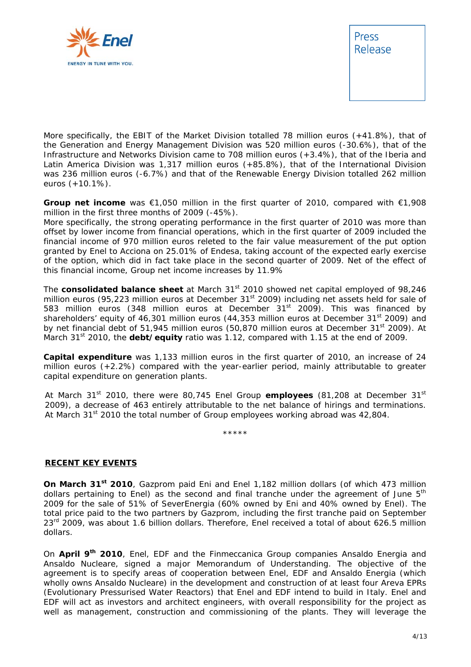



More specifically, the EBIT of the Market Division totalled 78 million euros (+41.8%), that of the Generation and Energy Management Division was 520 million euros (-30.6%), that of the Infrastructure and Networks Division came to 708 million euros (+3.4%), that of the Iberia and Latin America Division was 1,317 million euros (+85.8%), that of the International Division was 236 million euros (-6.7%) and that of the Renewable Energy Division totalled 262 million euros (+10.1%).

**Group net income** was €1,050 million in the first quarter of 2010, compared with €1,908 million in the first three months of 2009 (-45%).

More specifically, the strong operating performance in the first quarter of 2010 was more than offset by lower income from financial operations, which in the first quarter of 2009 included the financial income of 970 million euros releted to the fair value measurement of the put option granted by Enel to Acciona on 25.01% of Endesa, taking account of the expected early exercise of the option, which did in fact take place in the second quarter of 2009. Net of the effect of this financial income, Group net income increases by 11.9%

The **consolidated balance sheet** at March 31st 2010 showed net capital employed of 98,246 million euros (95,223 million euros at December 31<sup>st</sup> 2009) including net assets held for sale of 583 million euros (348 million euros at December  $31^{st}$  2009). This was financed by shareholders' equity of 46,301 million euros (44,353 million euros at December  $31<sup>st</sup>$  2009) and by net financial debt of 51,945 million euros (50,870 million euros at December 31<sup>st</sup> 2009). At March 31<sup>st</sup> 2010, the **debt/equity** ratio was 1.12, compared with 1.15 at the end of 2009.

**Capital expenditure** was 1,133 million euros in the first quarter of 2010, an increase of 24 million euros (+2.2%) compared with the year-earlier period, mainly attributable to greater capital expenditure on generation plants.

At March 31<sup>st</sup> 2010, there were 80,745 Enel Group **employees** (81,208 at December 31<sup>st</sup> 2009), a decrease of 463 entirely attributable to the net balance of hirings and terminations. At March  $31<sup>st</sup>$  2010 the total number of Group employees working abroad was 42,804.

\*\*\*\*\*

## **RECENT KEY EVENTS**

**On March 31st 2010**, Gazprom paid Eni and Enel 1,182 million dollars (of which 473 million dollars pertaining to Enel) as the second and final tranche under the agreement of June  $5<sup>th</sup>$ 2009 for the sale of 51% of SeverEnergia (60% owned by Eni and 40% owned by Enel). The total price paid to the two partners by Gazprom, including the first tranche paid on September  $23<sup>rd</sup>$  2009, was about 1.6 billion dollars. Therefore, Enel received a total of about 626.5 million dollars.

On **April 9th 2010**, Enel, EDF and the Finmeccanica Group companies Ansaldo Energia and Ansaldo Nucleare, signed a major Memorandum of Understanding. The objective of the agreement is to specify areas of cooperation between Enel, EDF and Ansaldo Energia (which wholly owns Ansaldo Nucleare) in the development and construction of at least four Areva EPRs (Evolutionary Pressurised Water Reactors) that Enel and EDF intend to build in Italy. Enel and EDF will act as investors and architect engineers, with overall responsibility for the project as well as management, construction and commissioning of the plants. They will leverage the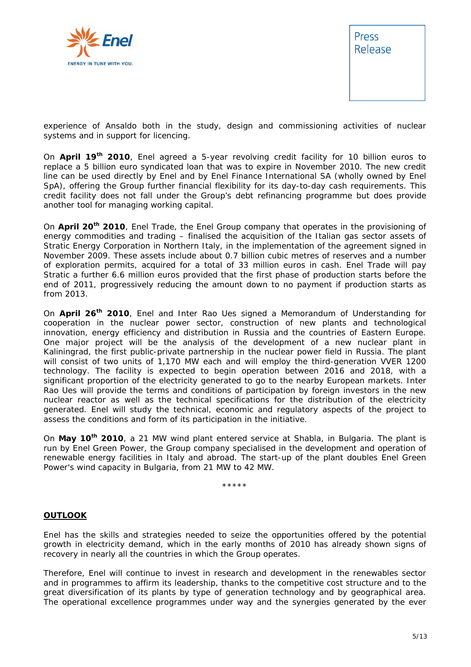



experience of Ansaldo both in the study, design and commissioning activities of nuclear systems and in support for licencing.

On **April 19th 2010**, Enel agreed a 5-year revolving credit facility for 10 billion euros to replace a 5 billion euro syndicated loan that was to expire in November 2010. The new credit line can be used directly by Enel and by Enel Finance International SA (wholly owned by Enel SpA), offering the Group further financial flexibility for its day-to-day cash requirements. This credit facility does not fall under the Group's debt refinancing programme but does provide another tool for managing working capital.

On **April 20th 2010**, Enel Trade, the Enel Group company that operates in the provisioning of energy commodities and trading – finalised the acquisition of the Italian gas sector assets of Stratic Energy Corporation in Northern Italy, in the implementation of the agreement signed in November 2009. These assets include about 0.7 billion cubic metres of reserves and a number of exploration permits, acquired for a total of 33 million euros in cash. Enel Trade will pay Stratic a further 6.6 million euros provided that the first phase of production starts before the end of 2011, progressively reducing the amount down to no payment if production starts as from 2013.

On **April 26th 2010**, Enel and Inter Rao Ues signed a Memorandum of Understanding for cooperation in the nuclear power sector, construction of new plants and technological innovation, energy efficiency and distribution in Russia and the countries of Eastern Europe. One major project will be the analysis of the development of a new nuclear plant in Kaliningrad, the first public-private partnership in the nuclear power field in Russia. The plant will consist of two units of 1,170 MW each and will employ the third-generation VVER 1200 technology. The facility is expected to begin operation between 2016 and 2018, with a significant proportion of the electricity generated to go to the nearby European markets. Inter Rao Ues will provide the terms and conditions of participation by foreign investors in the new nuclear reactor as well as the technical specifications for the distribution of the electricity generated. Enel will study the technical, economic and regulatory aspects of the project to assess the conditions and form of its participation in the initiative.

On **May 10th 2010**, a 21 MW wind plant entered service at Shabla, in Bulgaria. The plant is run by Enel Green Power, the Group company specialised in the development and operation of renewable energy facilities in Italy and abroad. The start-up of the plant doubles Enel Green Power's wind capacity in Bulgaria, from 21 MW to 42 MW.

\*\*\*\*\*

## **OUTLOOK**

Enel has the skills and strategies needed to seize the opportunities offered by the potential growth in electricity demand, which in the early months of 2010 has already shown signs of recovery in nearly all the countries in which the Group operates.

Therefore, Enel will continue to invest in research and development in the renewables sector and in programmes to affirm its leadership, thanks to the competitive cost structure and to the great diversification of its plants by type of generation technology and by geographical area. The operational excellence programmes under way and the synergies generated by the ever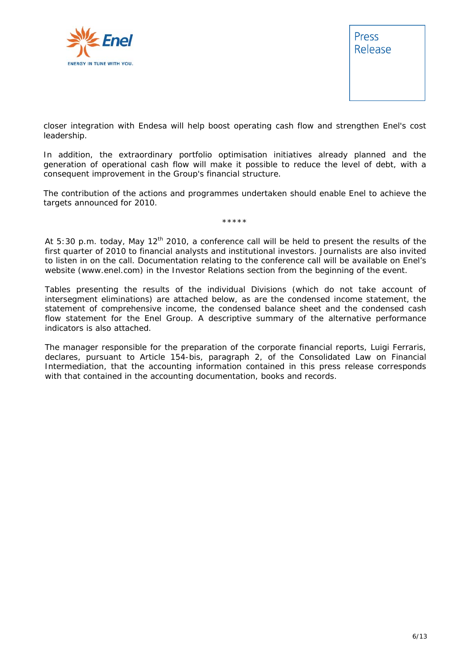



closer integration with Endesa will help boost operating cash flow and strengthen Enel's cost leadership.

In addition, the extraordinary portfolio optimisation initiatives already planned and the generation of operational cash flow will make it possible to reduce the level of debt, with a consequent improvement in the Group's financial structure.

The contribution of the actions and programmes undertaken should enable Enel to achieve the targets announced for 2010.

\*\*\*\*\*

*At 5:30 p.m. today, May 12th 2010, a conference call will be held to present the results of the first quarter of 2010 to financial analysts and institutional investors. Journalists are also invited to listen in on the call. Documentation relating to the conference call will be available on Enel's website (www.enel.com) in the Investor Relations section from the beginning of the event*.

Tables presenting the results of the individual Divisions (which do not take account of *intersegment eliminations) are attached below, as are the condensed income statement, the statement of comprehensive income, the condensed balance sheet and the condensed cash flow statement for the Enel Group. A descriptive summary of the alternative performance indicators is also attached.* 

*The manager responsible for the preparation of the corporate financial reports, Luigi Ferraris, declares, pursuant to Article 154-bis, paragraph 2, of the Consolidated Law on Financial Intermediation, that the accounting information contained in this press release corresponds with that contained in the accounting documentation, books and records.*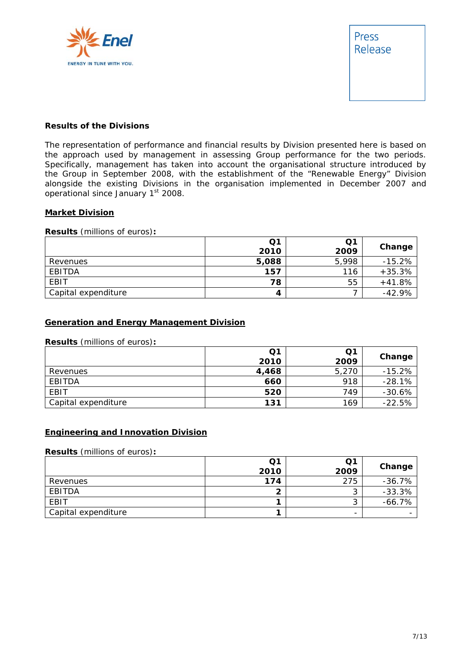



# **Results of the Divisions**

The representation of performance and financial results by Division presented here is based on the approach used by management in assessing Group performance for the two periods. Specifically, management has taken into account the organisational structure introduced by the Group in September 2008, with the establishment of the "Renewable Energy" Division alongside the existing Divisions in the organisation implemented in December 2007 and operational since January 1st 2008.

# **Market Division**

**Results** (millions of euros)**:** 

|                     | Q1<br>2010 | Q1<br>2009 | Change   |
|---------------------|------------|------------|----------|
| Revenues            | 5,088      | 5,998      | $-15.2%$ |
| EBITDA              | 157        | 116        | $+35.3%$ |
| EBIT                | 78         | 55         | $+41.8%$ |
| Capital expenditure | 4          |            | $-42.9%$ |

# **Generation and Energy Management Division**

#### **Results** (millions of euros)**:**

|                     | Q <sub>1</sub> | Q1    |          |
|---------------------|----------------|-------|----------|
|                     | 2010           | 2009  | Change   |
| Revenues            | 4,468          | 5,270 | $-15.2%$ |
| EBITDA              | 660            | 918   | $-28.1%$ |
| <b>EBIT</b>         | 520            | 749   | $-30.6%$ |
| Capital expenditure | 131            | 169   | $-22.5%$ |

## **Engineering and Innovation Division**

#### **Results** (millions of euros)**:**

|                     | Q1<br>2010 | Q1<br>2009               | Change   |
|---------------------|------------|--------------------------|----------|
| Revenues            | 174        | 275                      | $-36.7%$ |
| EBITDA              |            | ⌒<br>J                   | $-33.3%$ |
| EBIT                |            | ኅ<br>J                   | $-66.7%$ |
| Capital expenditure |            | $\overline{\phantom{0}}$ |          |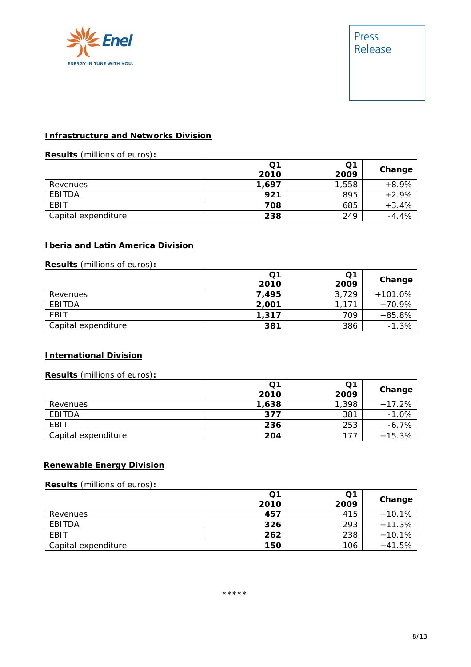

# **Infrastructure and Networks Division**

# **Results** (millions of euros)**:**

|                     | Q1<br>2010 | Q1<br>2009 | Change  |
|---------------------|------------|------------|---------|
| Revenues            | 1,697      | 1,558      | $+8.9%$ |
| EBITDA              | 921        | 895        | $+2.9%$ |
| EBIT                | 708        | 685        | $+3.4%$ |
| Capital expenditure | 238        | 249        | $-4.4%$ |

# **Iberia and Latin America Division**

# **Results** (millions of euros)**:**

|                     | Q1<br>2010 | Q1<br>2009 | Change    |
|---------------------|------------|------------|-----------|
| Revenues            | 7,495      | 3.729      | $+101.0%$ |
| EBITDA              | 2,001      | 1.171      | $+70.9%$  |
| EBIT                | 1,317      | 709        | $+85.8%$  |
| Capital expenditure | 381        | 386        | $-1.3%$   |

## **International Division**

# **Results** (millions of euros)**:**

|                     | Q1<br>2010 | Q <sub>1</sub><br>2009 | Change   |
|---------------------|------------|------------------------|----------|
| Revenues            | 1,638      | 1,398                  | $+17.2%$ |
| EBITDA              | 377        | 381                    | $-1.0%$  |
| EBIT                | 236        | 253                    | $-6.7%$  |
| Capital expenditure | 204        | 177                    | $+15.3%$ |

# **Renewable Energy Division**

#### **Results** (millions of euros)**:**

|                     | Q1   | Q1   | Change   |
|---------------------|------|------|----------|
|                     | 2010 | 2009 |          |
| Revenues            | 457  | 415  | $+10.1%$ |
| EBITDA              | 326  | 293  | $+11.3%$ |
| EBIT                | 262  | 238  | $+10.1%$ |
| Capital expenditure | 150  | 106  | $+41.5%$ |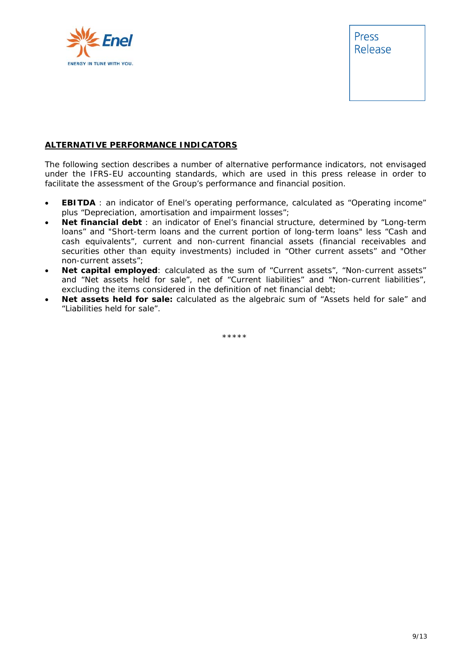

Press Release

# **ALTERNATIVE PERFORMANCE INDICATORS**

The following section describes a number of alternative performance indicators, not envisaged under the IFRS-EU accounting standards, which are used in this press release in order to facilitate the assessment of the Group's performance and financial position.

- **EBITDA** : an indicator of Enel's operating performance, calculated as "Operating income" plus "Depreciation, amortisation and impairment losses";
- **Net financial debt** : an indicator of Enel's financial structure, determined by "Long-term loans" and "Short-term loans and the current portion of long-term loans" less "Cash and cash equivalents", current and non-current financial assets (financial receivables and securities other than equity investments) included in "Other current assets" and "Other non-current assets";
- **Net capital employed**: calculated as the sum of "Current assets", "Non-current assets" and "Net assets held for sale", net of "Current liabilities" and "Non-current liabilities", excluding the items considered in the definition of net financial debt;
- **Net assets held for sale:** calculated as the algebraic sum of "Assets held for sale" and "Liabilities held for sale".

\*\*\*\*\*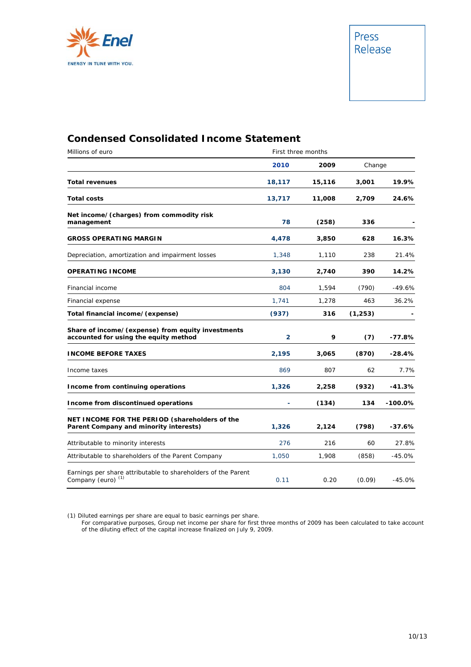

# **Condensed Consolidated Income Statement**

| Millions of euro                                                                               | First three months |        |          |           |
|------------------------------------------------------------------------------------------------|--------------------|--------|----------|-----------|
|                                                                                                | 2010               | 2009   | Change   |           |
| <b>Total revenues</b>                                                                          | 18,117             | 15,116 | 3,001    | 19.9%     |
| <b>Total costs</b>                                                                             | 13,717             | 11,008 | 2,709    | 24.6%     |
| Net income/(charges) from commodity risk<br>management                                         | 78                 | (258)  | 336      |           |
| <b>GROSS OPERATING MARGIN</b>                                                                  | 4,478              | 3,850  | 628      | 16.3%     |
| Depreciation, amortization and impairment losses                                               | 1,348              | 1,110  | 238      | 21.4%     |
| <b>OPERATING INCOME</b>                                                                        | 3,130              | 2,740  | 390      | 14.2%     |
| Financial income                                                                               | 804                | 1,594  | (790)    | -49.6%    |
| Financial expense                                                                              | 1,741              | 1,278  | 463      | 36.2%     |
| Total financial income/(expense)                                                               | (937)              | 316    | (1, 253) |           |
| Share of income/(expense) from equity investments<br>accounted for using the equity method     | $\overline{2}$     | 9      | (7)      | -77.8%    |
| <b>INCOME BEFORE TAXES</b>                                                                     | 2,195              | 3,065  | (870)    | $-28.4%$  |
| Income taxes                                                                                   | 869                | 807    | 62       | 7.7%      |
| Income from continuing operations                                                              | 1,326              | 2,258  | (932)    | $-41.3%$  |
| Income from discontinued operations                                                            |                    | (134)  | 134      | $-100.0%$ |
| NET INCOME FOR THE PERIOD (shareholders of the<br>Parent Company and minority interests)       | 1,326              | 2,124  | (798)    | $-37.6%$  |
| Attributable to minority interests                                                             | 276                | 216    | 60       | 27.8%     |
| Attributable to shareholders of the Parent Company                                             | 1,050              | 1,908  | (858)    | $-45.0%$  |
| Earnings per share attributable to shareholders of the Parent<br>Company (euro) <sup>(1)</sup> | 0.11               | 0.20   | (0.09)   | $-45.0%$  |

(1) Diluted earnings per share are equal to basic earnings per share.

For comparative purposes, Group net income per share for first three months of 2009 has been calculated to take account of the diluting effect of the capital increase finalized on July 9, 2009.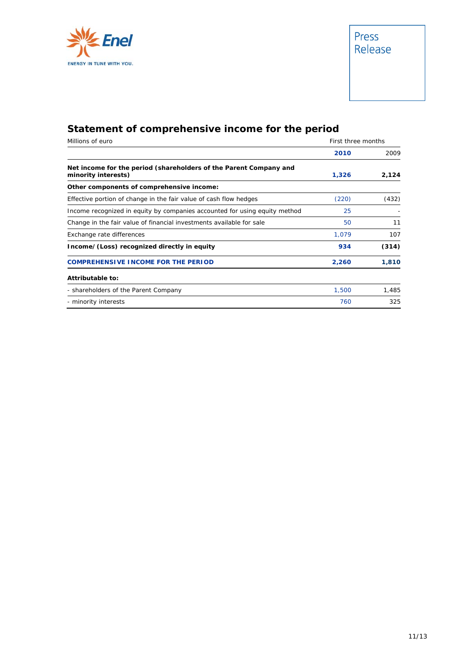

# **Statement of comprehensive income for the period**

| Millions of euro                                                                         | First three months |       |
|------------------------------------------------------------------------------------------|--------------------|-------|
|                                                                                          | 2010               | 2009  |
| Net income for the period (shareholders of the Parent Company and<br>minority interests) | 1,326              | 2,124 |
| Other components of comprehensive income:                                                |                    |       |
| Effective portion of change in the fair value of cash flow hedges                        | (220)              | (432) |
| Income recognized in equity by companies accounted for using equity method               | 25                 |       |
| Change in the fair value of financial investments available for sale                     | 50                 | 11    |
| Exchange rate differences                                                                | 1,079              | 107   |
| Income/(Loss) recognized directly in equity                                              | 934                | (314) |
| <b>COMPREHENSIVE INCOME FOR THE PERIOD</b>                                               | 2,260              | 1,810 |
| Attributable to:                                                                         |                    |       |
| - shareholders of the Parent Company                                                     | 1,500              | 1,485 |
| - minority interests                                                                     | 760                | 325   |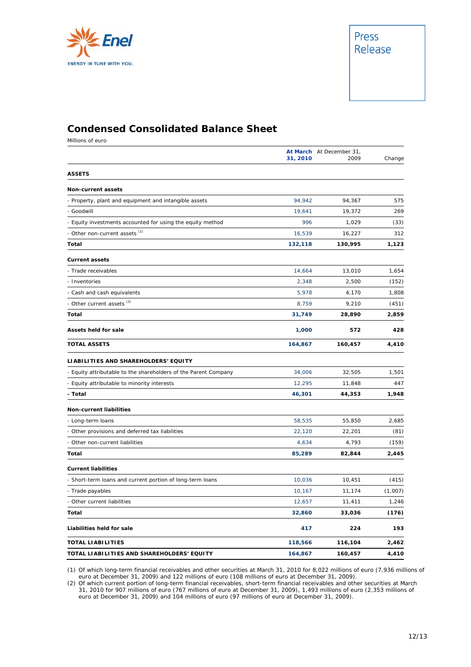

# **Condensed Consolidated Balance Sheet**

Millions of euro

|                                                                 | 31, 2010 | At March At December 31,<br>2009 | Change  |
|-----------------------------------------------------------------|----------|----------------------------------|---------|
| <b>ASSETS</b>                                                   |          |                                  |         |
| <b>Non-current assets</b>                                       |          |                                  |         |
| - Property, plant and equipment and intangible assets           | 94,942   | 94,367                           | 575     |
| - Goodwill                                                      | 19,641   | 19,372                           | 269     |
| - Equity investments accounted for using the equity method      | 996      | 1,029                            | (33)    |
| - Other non-current assets (1)                                  | 16,539   | 16,227                           | 312     |
| Total                                                           | 132,118  | 130,995                          | 1,123   |
| <b>Current assets</b>                                           |          |                                  |         |
| - Trade receivables                                             | 14,664   | 13,010                           | 1,654   |
| - Inventories                                                   | 2,348    | 2,500                            | (152)   |
| Cash and cash equivalents                                       | 5,978    | 4,170                            | 1,808   |
| - Other current assets <sup>(2)</sup>                           | 8,759    | 9,210                            | (451)   |
| Total                                                           | 31,749   | 28,890                           | 2,859   |
| <b>Assets held for sale</b>                                     | 1,000    | 572                              | 428     |
| <b>TOTAL ASSETS</b>                                             | 164,867  | 160,457                          | 4,410   |
| LIABILITIES AND SHAREHOLDERS' EQUITY                            |          |                                  |         |
| - Equity attributable to the shareholders of the Parent Company | 34,006   | 32,505                           | 1,501   |
| - Equity attributable to minority interests                     | 12,295   | 11,848                           | 447     |
| - Total                                                         | 46,301   | 44,353                           | 1,948   |
| Non-current liabilities                                         |          |                                  |         |
| - Long-term loans                                               | 58,535   | 55,850                           | 2,685   |
| - Other provisions and deferred tax liabilities                 | 22,120   | 22,201                           | (81)    |
| - Other non-current liabilities                                 | 4,634    | 4,793                            | (159)   |
| Total                                                           | 85,289   | 82,844                           | 2,445   |
| <b>Current liabilities</b>                                      |          |                                  |         |
| - Short-term loans and current portion of long-term loans       | 10,036   | 10,451                           | (415)   |
| Trade payables                                                  | 10,167   | 11,174                           | (1,007) |
| - Other current liabilities                                     | 12,657   | 11,411                           | 1,246   |
| Total                                                           | 32,860   | 33,036                           | (176)   |
| Liabilities held for sale                                       | 417      | 224                              | 193     |
| <b>TOTAL LIABILITIES</b>                                        | 118,566  | 116,104                          | 2,462   |
| TOTAL LIABILITIES AND SHAREHOLDERS' EQUITY                      | 164,867  | 160,457                          | 4,410   |

(1) Of which long-term financial receivables and other securities at March 31, 2010 for 8,022 millions of euro (7,936 millions of euro at December 31, 2009) and 122 millions of euro (108 millions of euro at December 31, 2009).

(2) Of which current portion of long-term financial receivables, short-term financial receivables and other securities at March 31, 2010 for 907 millions of euro (767 millions of euro at December 31, 2009), 1,493 millions of euro (2,353 millions of euro at December 31, 2009) and 104 millions of euro (97 millions of euro at December 31, 2009).